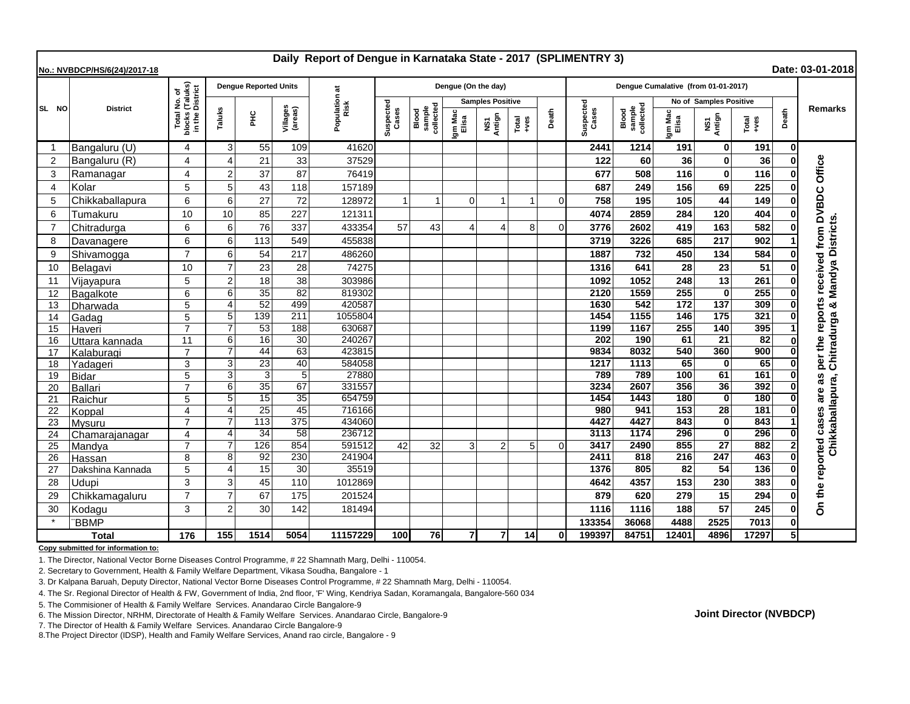| Daily Report of Dengue in Karnataka State - 2017 (SPLIMENTRY 3)<br>Date: 03-01-2018<br>No.: NVBDCP/HS/6(24)/2017-18 |                  |                                                                     |                            |                              |                     |                       |                    |                              |                         |                |                |          |                                     |                              |                  |                        |                 |       |                                |
|---------------------------------------------------------------------------------------------------------------------|------------------|---------------------------------------------------------------------|----------------------------|------------------------------|---------------------|-----------------------|--------------------|------------------------------|-------------------------|----------------|----------------|----------|-------------------------------------|------------------------------|------------------|------------------------|-----------------|-------|--------------------------------|
|                                                                                                                     | <b>District</b>  | I No. of<br>(Taluks)<br>District<br>Total I<br>blocks (<br>in the L |                            | <b>Dengue Reported Units</b> |                     |                       |                    |                              | Dengue (On the day)     |                |                |          | Dengue Cumalative (from 01-01-2017) |                              |                  |                        |                 |       |                                |
| SL NO                                                                                                               |                  |                                                                     |                            |                              |                     | Population at<br>Risk |                    |                              | <b>Samples Positive</b> |                |                |          |                                     |                              |                  | No of Samples Positive |                 |       |                                |
|                                                                                                                     |                  |                                                                     | Taluks                     | 울                            | Villages<br>(areas) |                       | Suspected<br>Cases | sample<br>collected<br>Blood | Igm Mac<br>Elisa        | NS1<br>Antign  | Total<br>+ves  | Death    | Suspected<br>Cases                  | sample<br>collected<br>Blood | Igm Mac<br>Elisa | NS1<br>Antign          | Total<br>+ves   | Death | <b>Remarks</b>                 |
| -1                                                                                                                  | Bangaluru (U)    | 4                                                                   | 3                          | 55                           | 109                 | 41620                 |                    |                              |                         |                |                |          | 2441                                | 1214                         | 191              | 0                      | 191             | 01    |                                |
| $\overline{2}$                                                                                                      | Bangaluru (R)    | 4                                                                   | $\boldsymbol{\Delta}$      | 21                           | 33                  | 37529                 |                    |                              |                         |                |                |          | 122                                 | 60                           | 36               | $\mathbf 0$            | 36              |       | Office                         |
| 3                                                                                                                   | Ramanagar        | 4                                                                   | $\overline{2}$             | 37                           | 87                  | 76419                 |                    |                              |                         |                |                |          | 677                                 | 508                          | 116              | $\bf{0}$               | 116             |       |                                |
| $\overline{4}$                                                                                                      | Kolar            | 5                                                                   | 5                          | 43                           | 118                 | 157189                |                    |                              |                         |                |                |          | 687                                 | 249                          | 156              | 69                     | 225             |       |                                |
| 5                                                                                                                   | Chikkaballapura  | 6                                                                   | 6                          | 27                           | 72                  | 128972                | $\overline{1}$     | 1                            | $\Omega$                | $\mathbf{1}$   | $\overline{1}$ | $\Omega$ | 758                                 | 195                          | 105              | 44                     | 149             |       |                                |
| 6                                                                                                                   | Tumakuru         | 10                                                                  | 10                         | 85                           | 227                 | 121311                |                    |                              |                         |                |                |          | 4074                                | 2859                         | 284              | 120                    | 404             |       | received from DVBDC            |
| $\overline{7}$                                                                                                      | Chitradurga      | 6                                                                   | 6                          | 76                           | 337                 | 433354                | 57                 | 43                           | Δ                       | 4              | 8              | ∩        | 3776                                | 2602                         | 419              | 163                    | 582             |       | Chitradurga & Mandya Districts |
| 8                                                                                                                   | Davanagere       | 6                                                                   | 6                          | 113                          | 549                 | 455838                |                    |                              |                         |                |                |          | 3719                                | 3226                         | 685              | 217                    | 902             |       |                                |
| 9                                                                                                                   | Shivamogga       | $\overline{7}$                                                      | 6                          | 54                           | 217                 | 486260                |                    |                              |                         |                |                |          | 1887                                | 732                          | 450              | 134                    | 584             |       |                                |
| 10                                                                                                                  | Belagavi         | 10                                                                  | $\overline{7}$             | 23                           | 28                  | 74275                 |                    |                              |                         |                |                |          | 1316                                | 641                          | 28               | 23                     | 51              |       |                                |
| 11                                                                                                                  | Vijayapura       | 5                                                                   | $\overline{2}$             | 18                           | 38                  | 303986                |                    |                              |                         |                |                |          | 1092                                | 1052                         | 248              | 13                     | 261             |       |                                |
| 12                                                                                                                  | Bagalkote        | 6                                                                   | 6                          | $\overline{35}$              | 82                  | 819302                |                    |                              |                         |                |                |          | 2120                                | 1559                         | 255              | $\bf{0}$               | 255             |       |                                |
| 13                                                                                                                  | Dharwada         | 5                                                                   | $\overline{4}$             | 52                           | 499                 | 420587                |                    |                              |                         |                |                |          | 1630                                | 542                          | 172              | 137                    | 309             |       | per the reports                |
| 14                                                                                                                  | Gadag            | 5                                                                   | 5                          | 139                          | 211                 | 1055804               |                    |                              |                         |                |                |          | 1454                                | 1155                         | 146              | 175                    | 321             |       |                                |
| 15                                                                                                                  | Haveri           | $\overline{7}$                                                      | 7                          | 53                           | 188                 | 630687                |                    |                              |                         |                |                |          | 1199                                | 1167                         | 255              | 140                    | 395             |       |                                |
| 16                                                                                                                  | Uttara kannada   | 11                                                                  | 6                          | 16                           | 30                  | 240267                |                    |                              |                         |                |                |          | 202                                 | 190                          | 61               | $\overline{21}$        | $\overline{82}$ |       |                                |
| 17                                                                                                                  | Kalaburagi       | $\overline{7}$                                                      | $\overline{7}$             | 44                           | 63                  | 423815                |                    |                              |                         |                |                |          | 9834                                | 8032                         | 540              | 360                    | 900             |       |                                |
| 18                                                                                                                  | Yadageri         | 3                                                                   | 3                          | 23                           | 40                  | 584058                |                    |                              |                         |                |                |          | 1217                                | 1113                         | 65               |                        | 65              |       |                                |
| 19                                                                                                                  | <b>Bidar</b>     | 5                                                                   | 3                          | 3                            | 5                   | 27880                 |                    |                              |                         |                |                |          | 789                                 | 789                          | 100              | 61                     | 161             |       |                                |
| 20                                                                                                                  | <b>Ballari</b>   | $\overline{7}$                                                      | 6                          | 35                           | 67                  | 331557                |                    |                              |                         |                |                |          | 3234                                | 2607                         | 356              | 36                     | 392             |       | are as                         |
| 21                                                                                                                  | Raichur          | 5                                                                   | 5                          | $\overline{15}$              | 35                  | 654759                |                    |                              |                         |                |                |          | 1454                                | 1443                         | 180              | $\bf{0}$               | 180             |       |                                |
| 22                                                                                                                  | Koppal           | $\overline{\mathbf{A}}$                                             | $\overline{4}$             | $\overline{25}$              | 45                  | 716166                |                    |                              |                         |                |                |          | 980                                 | 941                          | 153              | 28                     | 181             |       |                                |
| 23                                                                                                                  | Mysuru           | $\overline{7}$                                                      |                            | 113                          | $\overline{375}$    | 434060                |                    |                              |                         |                |                |          | 4427                                | 4427                         | 843              | $\Omega$               | 843             |       | Chikkaballapura,               |
| 24                                                                                                                  | Chamarajanagar   | 4                                                                   | 4                          | $\overline{34}$              | 58                  | 236712                |                    |                              |                         |                |                |          | 3113                                | 1174                         | 296              | 0                      | 296             | 0     |                                |
| 25                                                                                                                  | Mandya           | $\overline{7}$                                                      | 7                          | 126                          | 854                 | 591512                | 42                 | 32                           | 3                       | $\overline{2}$ | 5              | $\Omega$ | 3417                                | 2490                         | 855              | $\overline{27}$        | 882             |       |                                |
| 26                                                                                                                  | Hassan           | 8                                                                   | 8<br>$\boldsymbol{\Delta}$ | 92                           | 230                 | 241904                |                    |                              |                         |                |                |          | 2411                                | 818                          | 216              | 247                    | 463             |       |                                |
| 27                                                                                                                  | Dakshina Kannada | 5                                                                   |                            | 15                           | 30                  | 35519                 |                    |                              |                         |                |                |          | 1376                                | 805                          | 82               | 54                     | 136             |       | On the reported cases          |
| 28                                                                                                                  | Udupi            | 3                                                                   | 3                          | 45                           | 110                 | 1012869               |                    |                              |                         |                |                |          | 4642                                | 4357                         | 153              | 230                    | 383             |       |                                |
| 29                                                                                                                  | Chikkamagaluru   | $\overline{7}$                                                      | $\overline{7}$             | 67                           | 175                 | 201524                |                    |                              |                         |                |                |          | 879                                 | 620                          | 279              | 15                     | 294             |       |                                |
| 30                                                                                                                  | Kodagu           | 3                                                                   | $\overline{2}$             | 30                           | 142                 | 181494                |                    |                              |                         |                |                |          | 1116                                | 1116                         | 188              | 57                     | 245             |       |                                |
|                                                                                                                     | <b>BBMP</b>      |                                                                     |                            |                              |                     |                       |                    |                              |                         |                |                |          | 133354                              | 36068                        | 4488             | 2525                   | 7013            |       |                                |
| <b>Total</b>                                                                                                        |                  | 176                                                                 | 155                        | 1514                         | 5054                | 11157229              | 100                | 76                           | $\overline{7}$          | $\overline{7}$ | 14             | $\Omega$ | 199397                              | 84751                        | 12401            | 4896                   | 17297           | 5Ι    |                                |

**Copy submitted for information to:**

1. The Director, National Vector Borne Diseases Control Programme, # 22 Shamnath Marg, Delhi - 110054.

2. Secretary to Government, Health & Family Welfare Department, Vikasa Soudha, Bangalore - 1

3. Dr Kalpana Baruah, Deputy Director, National Vector Borne Diseases Control Programme, # 22 Shamnath Marg, Delhi - 110054.

4. The Sr. Regional Director of Health & FW, Government of India, 2nd floor, 'F' Wing, Kendriya Sadan, Koramangala, Bangalore-560 034

5. The Commisioner of Health & Family Welfare Services. Anandarao Circle Bangalore-9

6. The Mission Director, NRHM, Directorate of Health & Family Welfare Services. Anandarao Circle, Bangalore-9

7. The Director of Health & Family Welfare Services. Anandarao Circle Bangalore-9

8.The Project Director (IDSP), Health and Family Welfare Services, Anand rao circle, Bangalore - 9

**Joint Director (NVBDCP)**